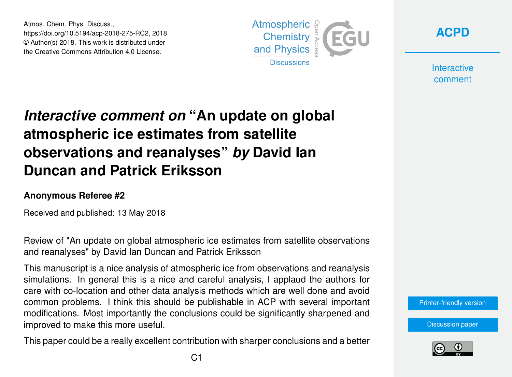Atmos. Chem. Phys. Discuss., https://doi.org/10.5194/acp-2018-275-RC2, 2018 © Author(s) 2018. This work is distributed under the Creative Commons Attribution 4.0 License.





**Interactive** comment

# *Interactive comment on* **"An update on global atmospheric ice estimates from satellite observations and reanalyses"** *by* **David Ian Duncan and Patrick Eriksson**

#### **Anonymous Referee #2**

Received and published: 13 May 2018

Review of "An update on global atmospheric ice estimates from satellite observations and reanalyses" by David Ian Duncan and Patrick Eriksson

This manuscript is a nice analysis of atmospheric ice from observations and reanalysis simulations. In general this is a nice and careful analysis, I applaud the authors for care with co-location and other data analysis methods which are well done and avoid common problems. I think this should be publishable in ACP with several important modifications. Most importantly the conclusions could be significantly sharpened and improved to make this more useful.

This paper could be a really excellent contribution with sharper conclusions and a better

[Printer-friendly version](https://www.atmos-chem-phys-discuss.net/acp-2018-275/acp-2018-275-RC2-print.pdf)

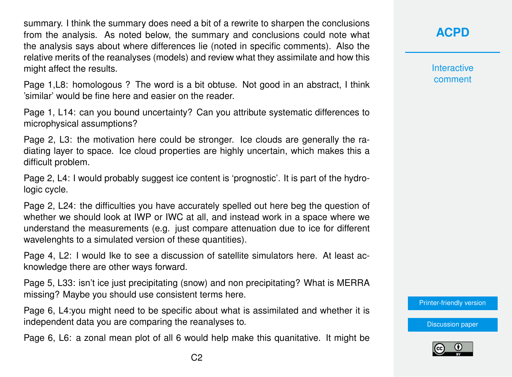summary. I think the summary does need a bit of a rewrite to sharpen the conclusions from the analysis. As noted below, the summary and conclusions could note what the analysis says about where differences lie (noted in specific comments). Also the relative merits of the reanalyses (models) and review what they assimilate and how this might affect the results.

Page 1,L8: homologous ? The word is a bit obtuse. Not good in an abstract, I think 'similar' would be fine here and easier on the reader.

Page 1, L14: can you bound uncertainty? Can you attribute systematic differences to microphysical assumptions?

Page 2, L3: the motivation here could be stronger. Ice clouds are generally the radiating layer to space. Ice cloud properties are highly uncertain, which makes this a difficult problem.

Page 2, L4: I would probably suggest ice content is 'prognostic'. It is part of the hydrologic cycle.

Page 2, L24: the difficulties you have accurately spelled out here beg the question of whether we should look at IWP or IWC at all, and instead work in a space where we understand the measurements (e.g. just compare attenuation due to ice for different wavelenghts to a simulated version of these quantities).

Page 4, L2: I would Ike to see a discussion of satellite simulators here. At least acknowledge there are other ways forward.

Page 5, L33: isn't ice just precipitating (snow) and non precipitating? What is MERRA missing? Maybe you should use consistent terms here.

Page 6, L4:you might need to be specific about what is assimilated and whether it is independent data you are comparing the reanalyses to.

Page 6, L6: a zonal mean plot of all 6 would help make this quanitative. It might be

### **[ACPD](https://www.atmos-chem-phys-discuss.net/)**

**Interactive** comment

[Printer-friendly version](https://www.atmos-chem-phys-discuss.net/acp-2018-275/acp-2018-275-RC2-print.pdf)

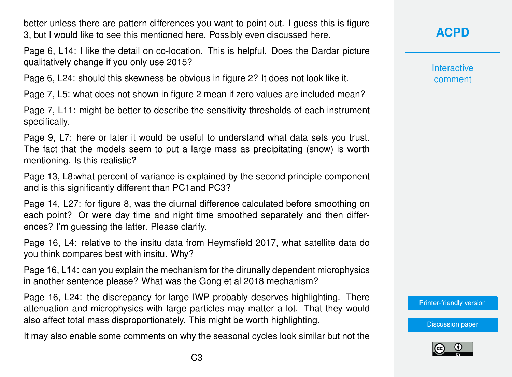better unless there are pattern differences you want to point out. I guess this is figure 3, but I would like to see this mentioned here. Possibly even discussed here.

Page 6, L14: I like the detail on co-location. This is helpful. Does the Dardar picture qualitatively change if you only use 2015?

Page 6, L24: should this skewness be obvious in figure 2? It does not look like it.

Page 7, L5: what does not shown in figure 2 mean if zero values are included mean?

Page 7, L11: might be better to describe the sensitivity thresholds of each instrument specifically.

Page 9, L7: here or later it would be useful to understand what data sets you trust. The fact that the models seem to put a large mass as precipitating (snow) is worth mentioning. Is this realistic?

Page 13, L8:what percent of variance is explained by the second principle component and is this significantly different than PC1and PC3?

Page 14, L27: for figure 8, was the diurnal difference calculated before smoothing on each point? Or were day time and night time smoothed separately and then differences? I'm guessing the latter. Please clarify.

Page 16, L4: relative to the insitu data from Heymsfield 2017, what satellite data do you think compares best with insitu. Why?

Page 16, L14: can you explain the mechanism for the dirunally dependent microphysics in another sentence please? What was the Gong et al 2018 mechanism?

Page 16, L24: the discrepancy for large IWP probably deserves highlighting. There attenuation and microphysics with large particles may matter a lot. That they would also affect total mass disproportionately. This might be worth highlighting.

It may also enable some comments on why the seasonal cycles look similar but not the

## **[ACPD](https://www.atmos-chem-phys-discuss.net/)**

**Interactive** comment

[Printer-friendly version](https://www.atmos-chem-phys-discuss.net/acp-2018-275/acp-2018-275-RC2-print.pdf)